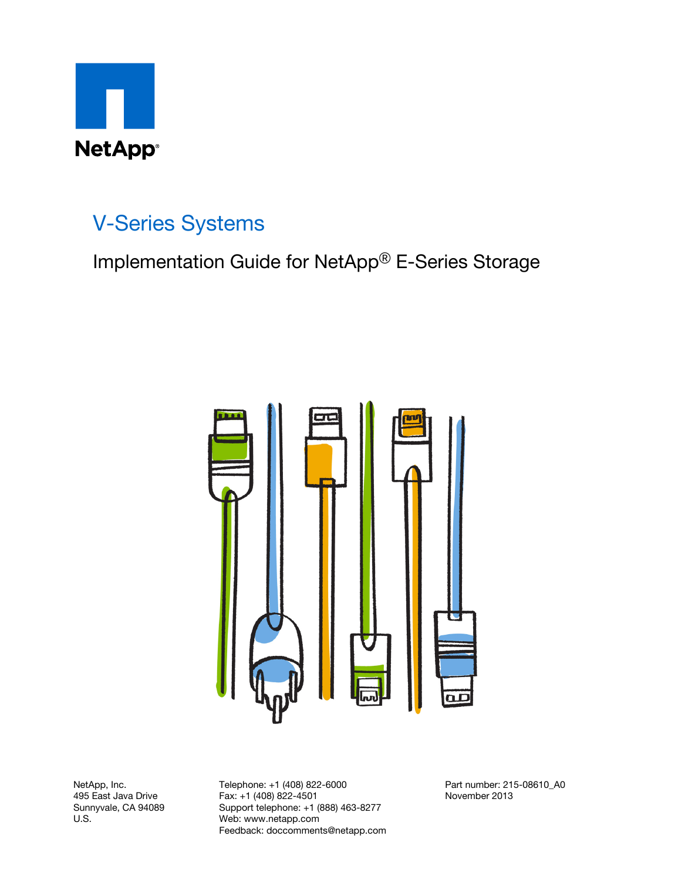

## V-Series Systems

Implementation Guide for NetApp® E-Series Storage



NetApp, Inc. 495 East Java Drive Sunnyvale, CA 94089 U.S.

Telephone: +1 (408) 822-6000 Fax: +1 (408) 822-4501 Support telephone: +1 (888) 463-8277 Web: www.netapp.com Feedback: doccomments@netapp.com Part number: 215-08610\_A0 November 2013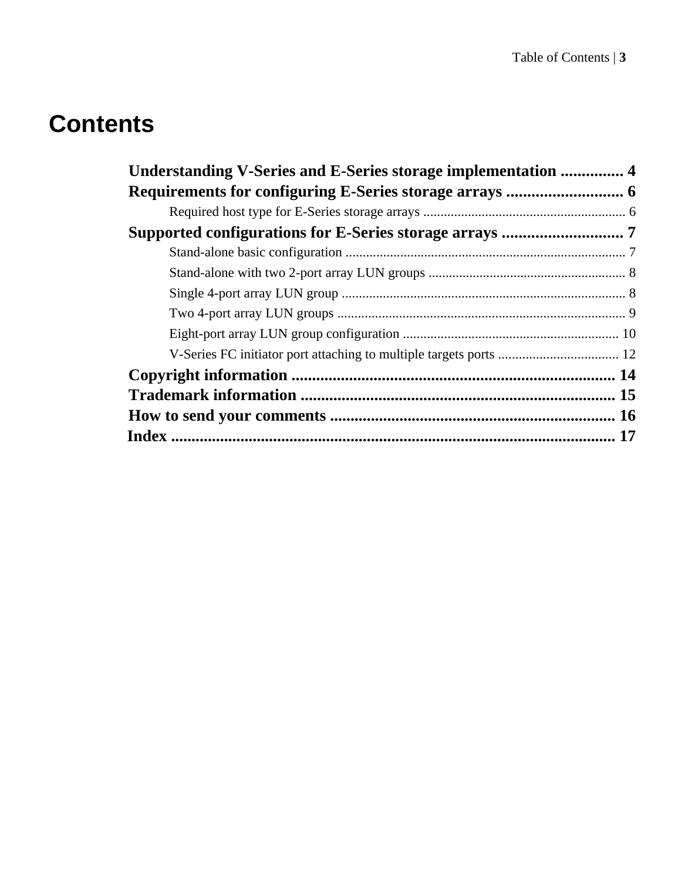# **Contents**

| Understanding V-Series and E-Series storage implementation  4 |  |
|---------------------------------------------------------------|--|
|                                                               |  |
|                                                               |  |
|                                                               |  |
|                                                               |  |
|                                                               |  |
|                                                               |  |
|                                                               |  |
|                                                               |  |
|                                                               |  |
|                                                               |  |
|                                                               |  |
|                                                               |  |
|                                                               |  |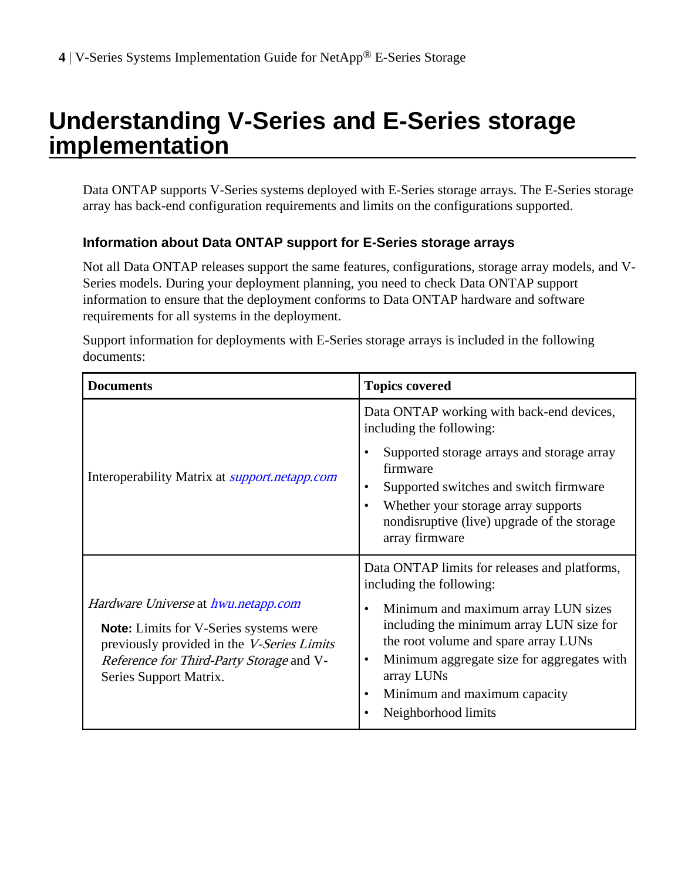## <span id="page-3-0"></span>**Understanding V-Series and E-Series storage implementation**

Data ONTAP supports V-Series systems deployed with E-Series storage arrays. The E-Series storage array has back-end configuration requirements and limits on the configurations supported.

#### **Information about Data ONTAP support for E-Series storage arrays**

Not all Data ONTAP releases support the same features, configurations, storage array models, and V-Series models. During your deployment planning, you need to check Data ONTAP support information to ensure that the deployment conforms to Data ONTAP hardware and software requirements for all systems in the deployment.

Support information for deployments with E-Series storage arrays is included in the following documents:

| <b>Documents</b>                                                                                                                                                                                                              | <b>Topics covered</b>                                                                                                                                                                                                                                                                                                                     |
|-------------------------------------------------------------------------------------------------------------------------------------------------------------------------------------------------------------------------------|-------------------------------------------------------------------------------------------------------------------------------------------------------------------------------------------------------------------------------------------------------------------------------------------------------------------------------------------|
| Interoperability Matrix at <i>support.netapp.com</i>                                                                                                                                                                          | Data ONTAP working with back-end devices,<br>including the following:<br>Supported storage arrays and storage array<br>٠<br>firmware<br>Supported switches and switch firmware<br>٠<br>Whether your storage array supports<br>$\bullet$<br>nondisruptive (live) upgrade of the storage<br>array firmware                                  |
| <i>Hardware Universe at hwu.netapp.com</i><br><b>Note:</b> Limits for V-Series systems were<br>previously provided in the <i>V-Series Limits</i><br><i>Reference for Third-Party Storage</i> and V-<br>Series Support Matrix. | Data ONTAP limits for releases and platforms,<br>including the following:<br>Minimum and maximum array LUN sizes<br>٠<br>including the minimum array LUN size for<br>the root volume and spare array LUNs<br>Minimum aggregate size for aggregates with<br>$\bullet$<br>array LUNs<br>Minimum and maximum capacity<br>Neighborhood limits |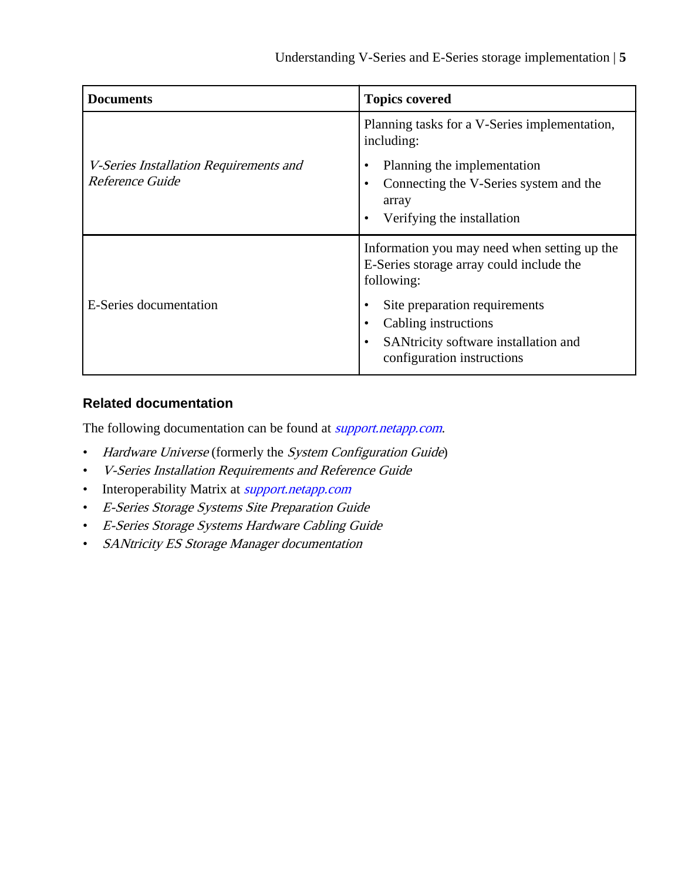| <b>Documents</b>                                          | <b>Topics covered</b>                                                                                                                                      |
|-----------------------------------------------------------|------------------------------------------------------------------------------------------------------------------------------------------------------------|
| V-Series Installation Requirements and<br>Reference Guide | Planning tasks for a V-Series implementation,<br>including:                                                                                                |
|                                                           | Planning the implementation<br>٠<br>Connecting the V-Series system and the<br>٠<br>array<br>Verifying the installation<br>$\bullet$                        |
|                                                           | Information you may need when setting up the<br>E-Series storage array could include the<br>following:                                                     |
| E-Series documentation                                    | Site preparation requirements<br>٠<br>Cabling instructions<br>$\bullet$<br>SANtricity software installation and<br>$\bullet$<br>configuration instructions |

#### **Related documentation**

The following documentation can be found at *[support.netapp.com](http://support.netapp.com/)*.

- Hardware Universe (formerly the System Configuration Guide)
- V-Series Installation Requirements and Reference Guide
- Interoperability Matrix at *[support.netapp.com](http://support.netapp.com)*
- E-Series Storage Systems Site Preparation Guide
- E-Series Storage Systems Hardware Cabling Guide
- SANtricity ES Storage Manager documentation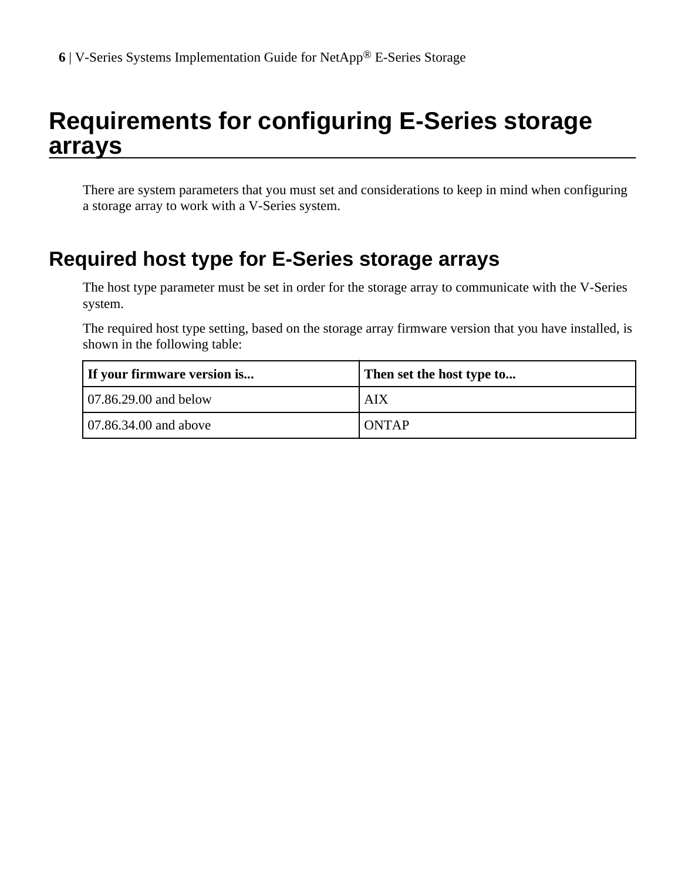## <span id="page-5-0"></span>**Requirements for configuring E-Series storage arrays**

There are system parameters that you must set and considerations to keep in mind when configuring a storage array to work with a V-Series system.

## **Required host type for E-Series storage arrays**

The host type parameter must be set in order for the storage array to communicate with the V-Series system.

The required host type setting, based on the storage array firmware version that you have installed, is shown in the following table:

| If your firmware version is    | Then set the host type to |
|--------------------------------|---------------------------|
| $\sqrt{07.86.29.00}$ and below | AIX                       |
| 107.86.34.00 and above         | <b>ONTAP</b>              |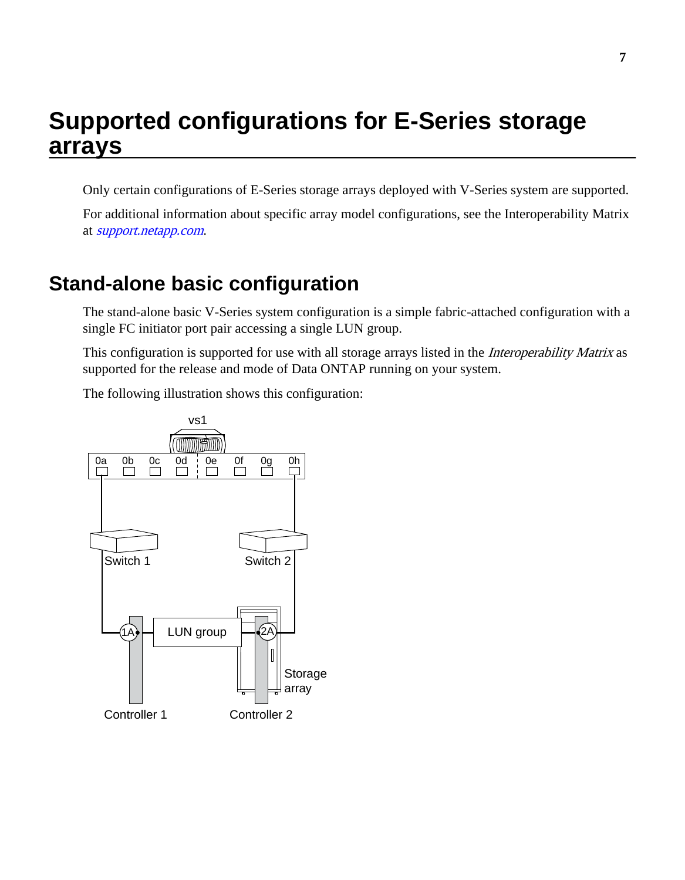## <span id="page-6-0"></span>**Supported configurations for E-Series storage arrays**

Only certain configurations of E-Series storage arrays deployed with V-Series system are supported.

For additional information about specific array model configurations, see the Interoperability Matrix at [support.netapp.com](http://support.netapp.com).

## **Stand-alone basic configuration**

The stand-alone basic V-Series system configuration is a simple fabric-attached configuration with a single FC initiator port pair accessing a single LUN group.

This configuration is supported for use with all storage arrays listed in the *Interoperability Matrix* as supported for the release and mode of Data ONTAP running on your system.

The following illustration shows this configuration:

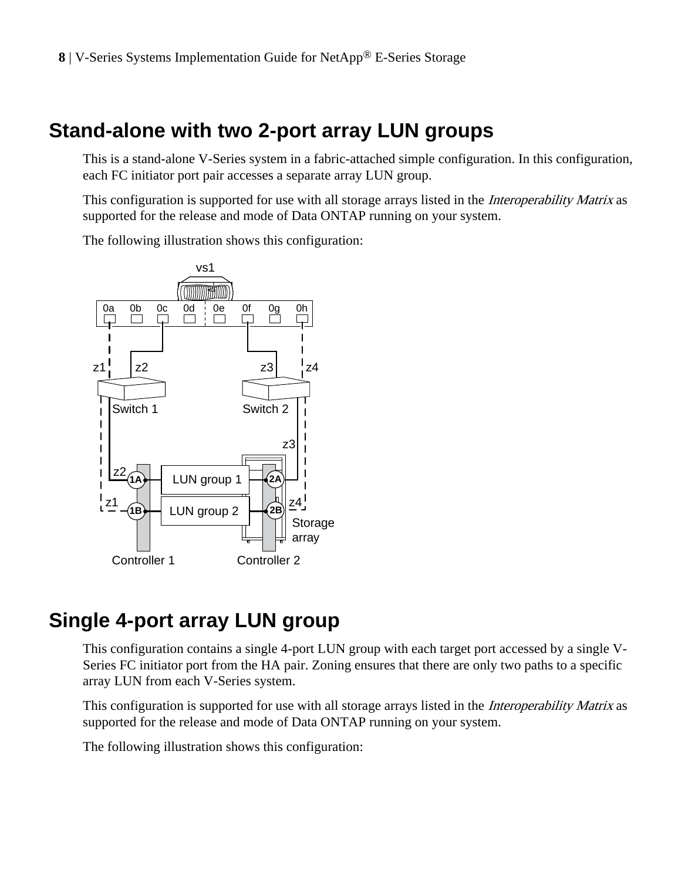## <span id="page-7-0"></span>**Stand-alone with two 2-port array LUN groups**

This is a stand-alone V-Series system in a fabric-attached simple configuration. In this configuration, each FC initiator port pair accesses a separate array LUN group.

This configuration is supported for use with all storage arrays listed in the *Interoperability Matrix* as supported for the release and mode of Data ONTAP running on your system.

The following illustration shows this configuration:



### **Single 4-port array LUN group**

This configuration contains a single 4-port LUN group with each target port accessed by a single V-Series FC initiator port from the HA pair. Zoning ensures that there are only two paths to a specific array LUN from each V-Series system.

This configuration is supported for use with all storage arrays listed in the *Interoperability Matrix* as supported for the release and mode of Data ONTAP running on your system.

The following illustration shows this configuration: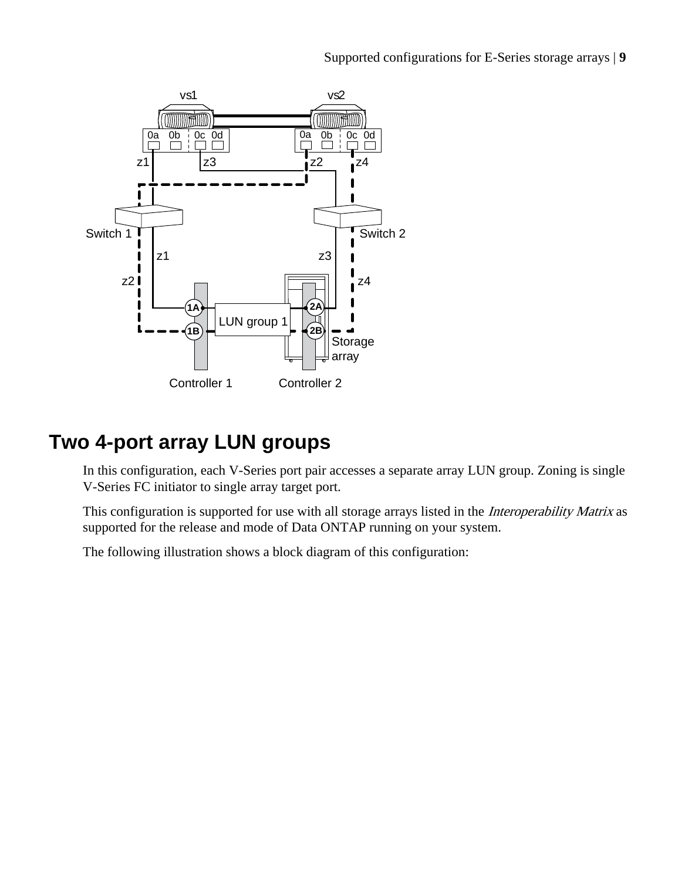Supported configurations for E-Series storage arrays | **9**

<span id="page-8-0"></span>

## **Two 4-port array LUN groups**

In this configuration, each V-Series port pair accesses a separate array LUN group. Zoning is single V-Series FC initiator to single array target port.

This configuration is supported for use with all storage arrays listed in the *Interoperability Matrix* as supported for the release and mode of Data ONTAP running on your system.

The following illustration shows a block diagram of this configuration: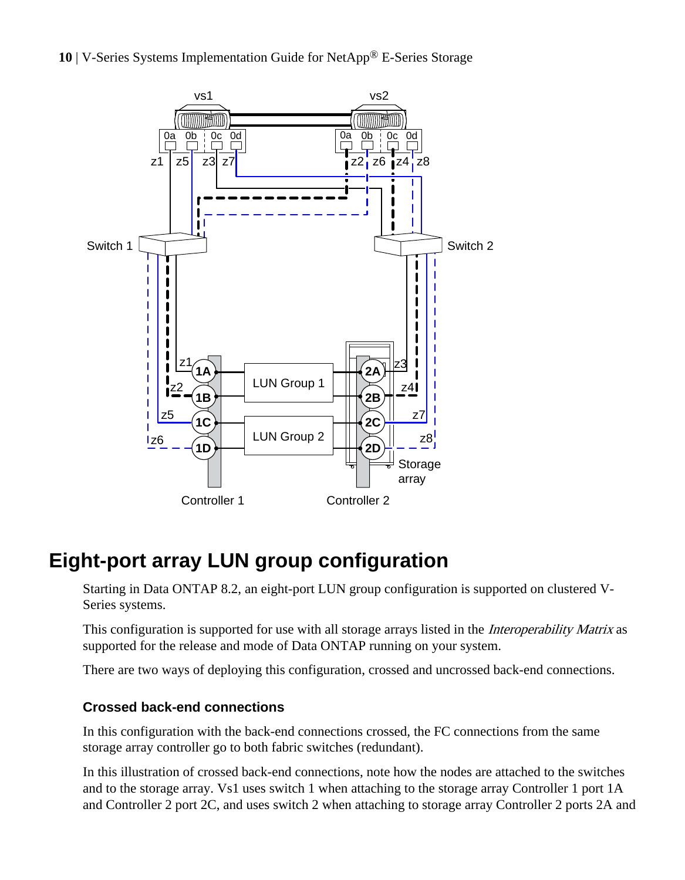<span id="page-9-0"></span>



## **Eight-port array LUN group configuration**

Starting in Data ONTAP 8.2, an eight-port LUN group configuration is supported on clustered V-Series systems.

This configuration is supported for use with all storage arrays listed in the *Interoperability Matrix* as supported for the release and mode of Data ONTAP running on your system.

There are two ways of deploying this configuration, crossed and uncrossed back-end connections.

#### **Crossed back-end connections**

In this configuration with the back-end connections crossed, the FC connections from the same storage array controller go to both fabric switches (redundant).

In this illustration of crossed back-end connections, note how the nodes are attached to the switches and to the storage array. Vs1 uses switch 1 when attaching to the storage array Controller 1 port 1A and Controller 2 port 2C, and uses switch 2 when attaching to storage array Controller 2 ports 2A and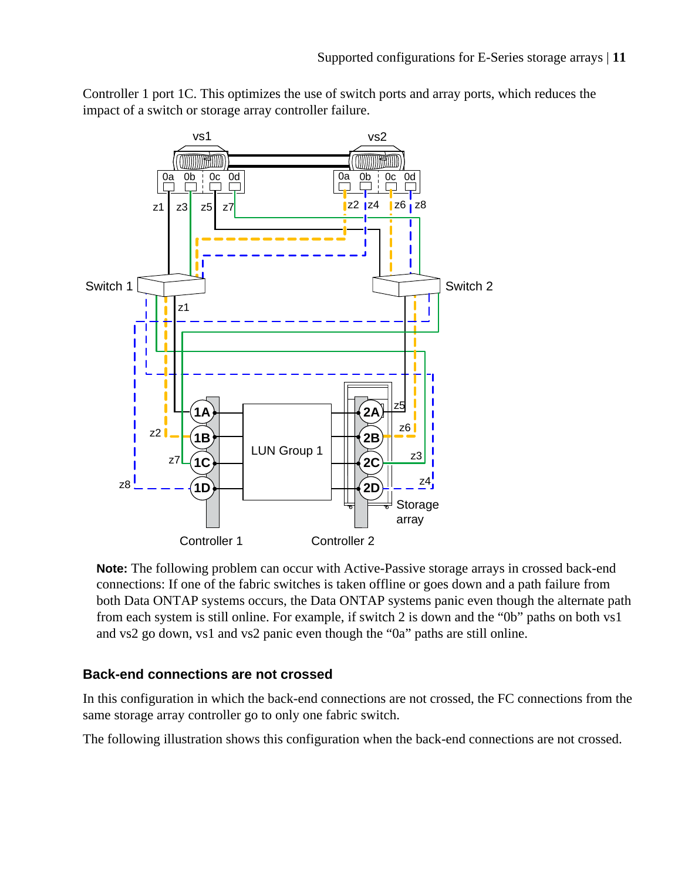

Controller 1 port 1C. This optimizes the use of switch ports and array ports, which reduces the impact of a switch or storage array controller failure.

**Note:** The following problem can occur with Active-Passive storage arrays in crossed back-end connections: If one of the fabric switches is taken offline or goes down and a path failure from both Data ONTAP systems occurs, the Data ONTAP systems panic even though the alternate path from each system is still online. For example, if switch 2 is down and the "0b" paths on both vs1 and vs2 go down, vs1 and vs2 panic even though the "0a" paths are still online.

#### **Back-end connections are not crossed**

In this configuration in which the back-end connections are not crossed, the FC connections from the same storage array controller go to only one fabric switch.

The following illustration shows this configuration when the back-end connections are not crossed.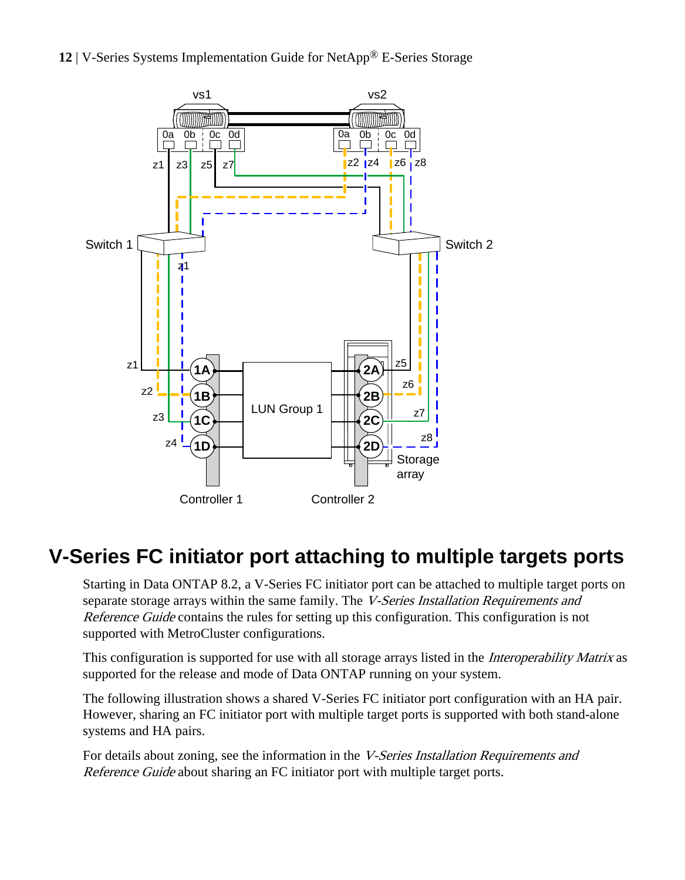<span id="page-11-0"></span>



## **V-Series FC initiator port attaching to multiple targets ports**

Starting in Data ONTAP 8.2, a V-Series FC initiator port can be attached to multiple target ports on separate storage arrays within the same family. The *V-Series Installation Requirements and* Reference Guide contains the rules for setting up this configuration. This configuration is not supported with MetroCluster configurations.

This configuration is supported for use with all storage arrays listed in the *Interoperability Matrix* as supported for the release and mode of Data ONTAP running on your system.

The following illustration shows a shared V-Series FC initiator port configuration with an HA pair. However, sharing an FC initiator port with multiple target ports is supported with both stand-alone systems and HA pairs.

For details about zoning, see the information in the V-Series Installation Requirements and Reference Guide about sharing an FC initiator port with multiple target ports.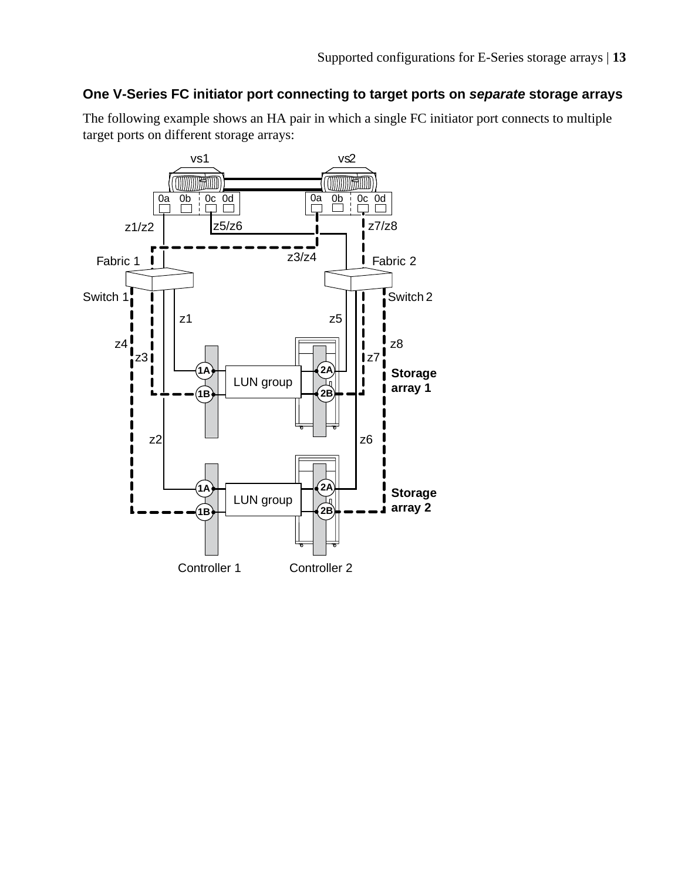#### **One V-Series FC initiator port connecting to target ports on separate storage arrays**

The following example shows an HA pair in which a single FC initiator port connects to multiple target ports on different storage arrays:

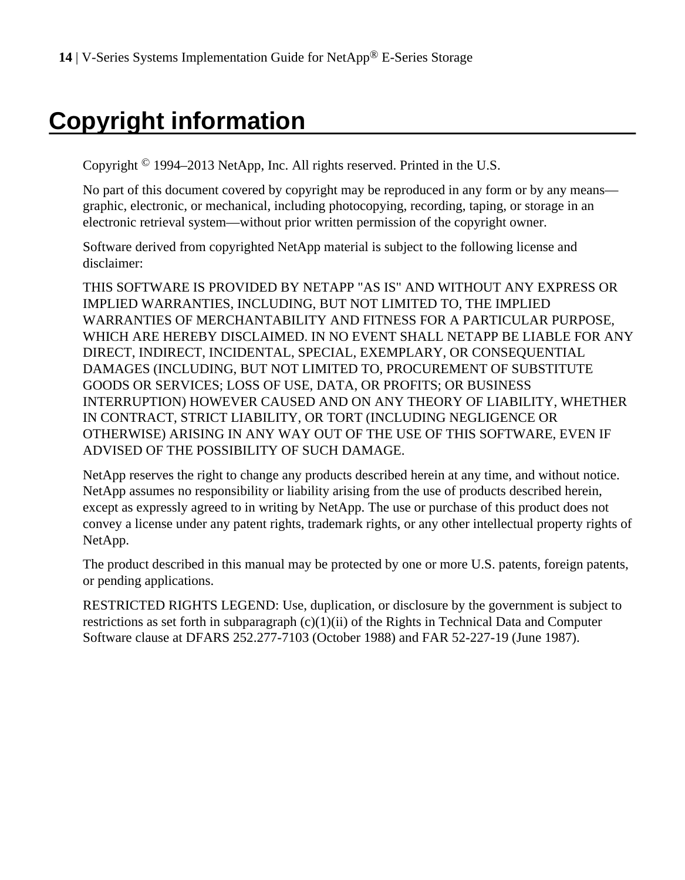# <span id="page-13-0"></span>**Copyright information**

Copyright © 1994–2013 NetApp, Inc. All rights reserved. Printed in the U.S.

No part of this document covered by copyright may be reproduced in any form or by any means graphic, electronic, or mechanical, including photocopying, recording, taping, or storage in an electronic retrieval system—without prior written permission of the copyright owner.

Software derived from copyrighted NetApp material is subject to the following license and disclaimer:

THIS SOFTWARE IS PROVIDED BY NETAPP "AS IS" AND WITHOUT ANY EXPRESS OR IMPLIED WARRANTIES, INCLUDING, BUT NOT LIMITED TO, THE IMPLIED WARRANTIES OF MERCHANTABILITY AND FITNESS FOR A PARTICULAR PURPOSE, WHICH ARE HEREBY DISCLAIMED. IN NO EVENT SHALL NETAPP BE LIABLE FOR ANY DIRECT, INDIRECT, INCIDENTAL, SPECIAL, EXEMPLARY, OR CONSEQUENTIAL DAMAGES (INCLUDING, BUT NOT LIMITED TO, PROCUREMENT OF SUBSTITUTE GOODS OR SERVICES; LOSS OF USE, DATA, OR PROFITS; OR BUSINESS INTERRUPTION) HOWEVER CAUSED AND ON ANY THEORY OF LIABILITY, WHETHER IN CONTRACT, STRICT LIABILITY, OR TORT (INCLUDING NEGLIGENCE OR OTHERWISE) ARISING IN ANY WAY OUT OF THE USE OF THIS SOFTWARE, EVEN IF ADVISED OF THE POSSIBILITY OF SUCH DAMAGE.

NetApp reserves the right to change any products described herein at any time, and without notice. NetApp assumes no responsibility or liability arising from the use of products described herein, except as expressly agreed to in writing by NetApp. The use or purchase of this product does not convey a license under any patent rights, trademark rights, or any other intellectual property rights of NetApp.

The product described in this manual may be protected by one or more U.S. patents, foreign patents, or pending applications.

RESTRICTED RIGHTS LEGEND: Use, duplication, or disclosure by the government is subject to restrictions as set forth in subparagraph  $(c)(1)(ii)$  of the Rights in Technical Data and Computer Software clause at DFARS 252.277-7103 (October 1988) and FAR 52-227-19 (June 1987).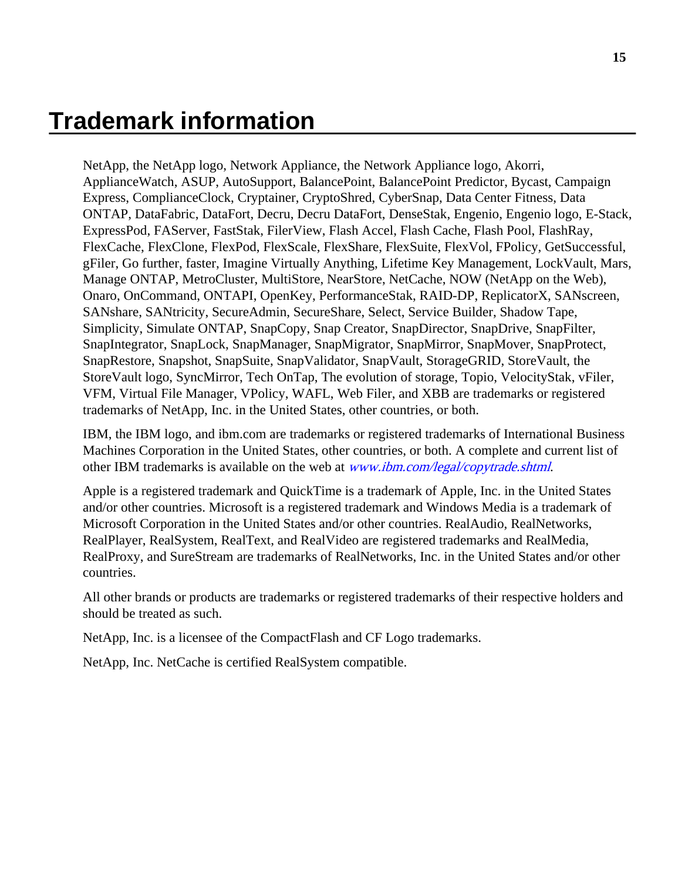## <span id="page-14-0"></span>**Trademark information**

NetApp, the NetApp logo, Network Appliance, the Network Appliance logo, Akorri, ApplianceWatch, ASUP, AutoSupport, BalancePoint, BalancePoint Predictor, Bycast, Campaign Express, ComplianceClock, Cryptainer, CryptoShred, CyberSnap, Data Center Fitness, Data ONTAP, DataFabric, DataFort, Decru, Decru DataFort, DenseStak, Engenio, Engenio logo, E-Stack, ExpressPod, FAServer, FastStak, FilerView, Flash Accel, Flash Cache, Flash Pool, FlashRay, FlexCache, FlexClone, FlexPod, FlexScale, FlexShare, FlexSuite, FlexVol, FPolicy, GetSuccessful, gFiler, Go further, faster, Imagine Virtually Anything, Lifetime Key Management, LockVault, Mars, Manage ONTAP, MetroCluster, MultiStore, NearStore, NetCache, NOW (NetApp on the Web), Onaro, OnCommand, ONTAPI, OpenKey, PerformanceStak, RAID-DP, ReplicatorX, SANscreen, SANshare, SANtricity, SecureAdmin, SecureShare, Select, Service Builder, Shadow Tape, Simplicity, Simulate ONTAP, SnapCopy, Snap Creator, SnapDirector, SnapDrive, SnapFilter, SnapIntegrator, SnapLock, SnapManager, SnapMigrator, SnapMirror, SnapMover, SnapProtect, SnapRestore, Snapshot, SnapSuite, SnapValidator, SnapVault, StorageGRID, StoreVault, the StoreVault logo, SyncMirror, Tech OnTap, The evolution of storage, Topio, VelocityStak, vFiler, VFM, Virtual File Manager, VPolicy, WAFL, Web Filer, and XBB are trademarks or registered trademarks of NetApp, Inc. in the United States, other countries, or both.

IBM, the IBM logo, and ibm.com are trademarks or registered trademarks of International Business Machines Corporation in the United States, other countries, or both. A complete and current list of other IBM trademarks is available on the web at [www.ibm.com/legal/copytrade.shtml](http://www.ibm.com/legal/copytrade.shtml).

Apple is a registered trademark and QuickTime is a trademark of Apple, Inc. in the United States and/or other countries. Microsoft is a registered trademark and Windows Media is a trademark of Microsoft Corporation in the United States and/or other countries. RealAudio, RealNetworks, RealPlayer, RealSystem, RealText, and RealVideo are registered trademarks and RealMedia, RealProxy, and SureStream are trademarks of RealNetworks, Inc. in the United States and/or other countries.

All other brands or products are trademarks or registered trademarks of their respective holders and should be treated as such.

NetApp, Inc. is a licensee of the CompactFlash and CF Logo trademarks.

NetApp, Inc. NetCache is certified RealSystem compatible.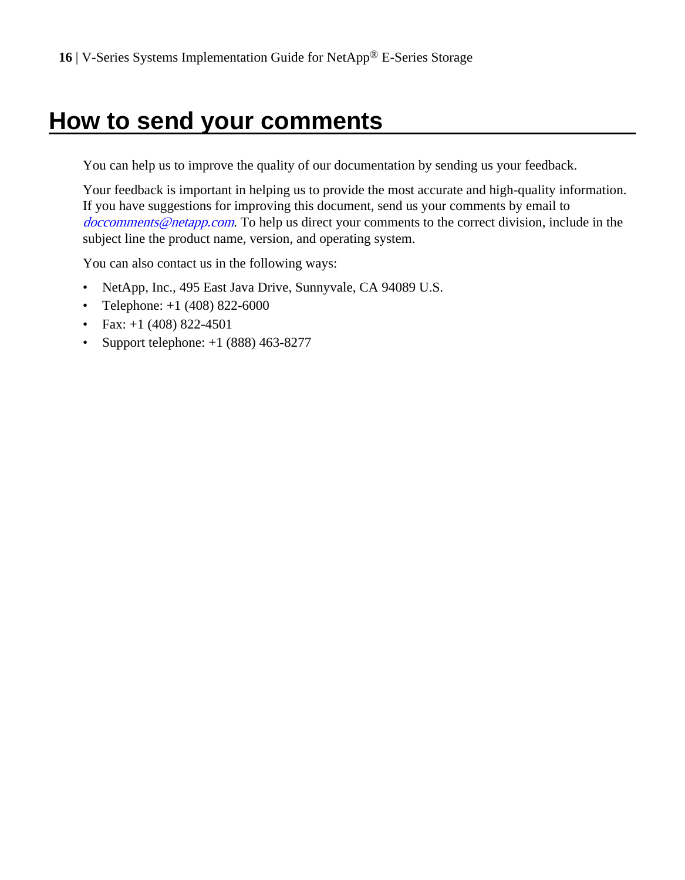## <span id="page-15-0"></span>**How to send your comments**

You can help us to improve the quality of our documentation by sending us your feedback.

Your feedback is important in helping us to provide the most accurate and high-quality information. If you have suggestions for improving this document, send us your comments by email to [doccomments@netapp.com](mailto:doccomments@netapp.com). To help us direct your comments to the correct division, include in the subject line the product name, version, and operating system.

You can also contact us in the following ways:

- NetApp, Inc., 495 East Java Drive, Sunnyvale, CA 94089 U.S.
- Telephone:  $+1$  (408) 822-6000
- Fax:  $+1$  (408) 822-4501
- Support telephone:  $+1$  (888) 463-8277